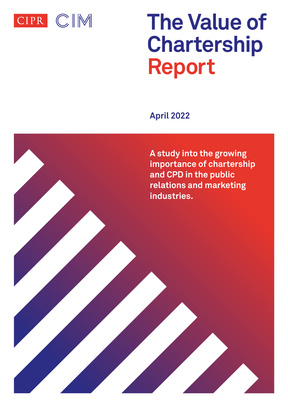

# **The Value of Chartership Report**

**April 2022**

**A study into the growing importance of chartership and CPD in the public relations and marketing industries.**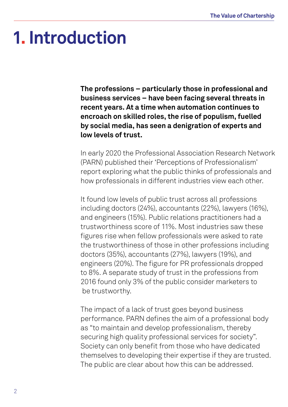### **1. Introduction**

**The professions – particularly those in professional and business services – have been facing several threats in recent years. At a time when automation continues to encroach on skilled roles, the rise of populism, fuelled by social media, has seen a denigration of experts and low levels of trust.**

In early 2020 the Professional Association Research Network (PARN) published their 'Perceptions of Professionalism' report exploring what the public thinks of professionals and how professionals in different industries view each other.

It found low levels of public trust across all professions including doctors (24%), accountants (22%), lawyers (16%), and engineers (15%). Public relations practitioners had a trustworthiness score of 11%. Most industries saw these figures rise when fellow professionals were asked to rate the trustworthiness of those in other professions including doctors (35%), accountants (27%), lawyers (19%), and engineers (20%). The figure for PR professionals dropped to 8%. A separate study of trust in the professions from 2016 found only 3% of the public consider marketers to be trustworthy.

The impact of a lack of trust goes beyond business performance. PARN defines the aim of a professional body as "to maintain and develop professionalism, thereby securing high quality professional services for society". Society can only benefit from those who have dedicated themselves to developing their expertise if they are trusted. The public are clear about how this can be addressed.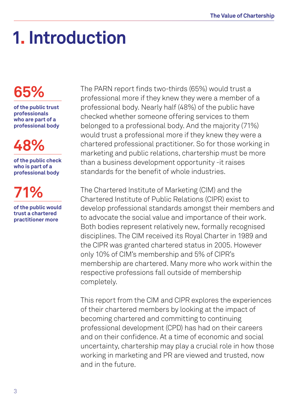## **1. Introduction**

### **65%**

**of the public trust professionals who are part of a professional body**

### **48%**

**of the public check who is part of a professional body**

**71% of the public would** 

**trust a chartered practitioner more** The PARN report finds two-thirds (65%) would trust a professional more if they knew they were a member of a professional body. Nearly half (48%) of the public have checked whether someone offering services to them belonged to a professional body. And the majority (71%) would trust a professional more if they knew they were a chartered professional practitioner. So for those working in marketing and public relations, chartership must be more than a business development opportunity -it raises standards for the benefit of whole industries.

The Chartered Institute of Marketing (CIM) and the Chartered Institute of Public Relations (CIPR) exist to develop professional standards amongst their members and to advocate the social value and importance of their work. Both bodies represent relatively new, formally recognised disciplines. The CIM received its Royal Charter in 1989 and the CIPR was granted chartered status in 2005. However only 10% of CIM's membership and 5% of CIPR's membership are chartered. Many more who work within the respective professions fall outside of membership completely.

This report from the CIM and CIPR explores the experiences of their chartered members by looking at the impact of becoming chartered and committing to continuing professional development (CPD) has had on their careers and on their confidence. At a time of economic and social uncertainty, chartership may play a crucial role in how those working in marketing and PR are viewed and trusted, now and in the future.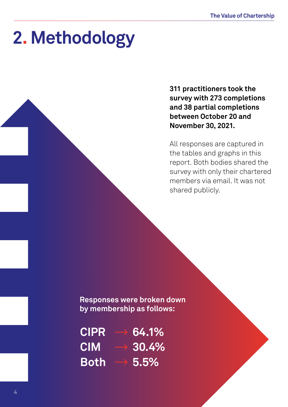### **2. Methodology**

**311 practitioners took the survey with 273 completions and 38 partial completions between October 20 and November 30, 2021.** 

All responses are captured in the tables and graphs in this report. Both bodies shared the survey with only their chartered members via email. It was not shared publicly.**:**

**Responses were broken down by membership as follows:**

| CIPR        | 64.1% |
|-------------|-------|
| <b>CIM</b>  | 30.4% |
| <b>Both</b> | 5.5%  |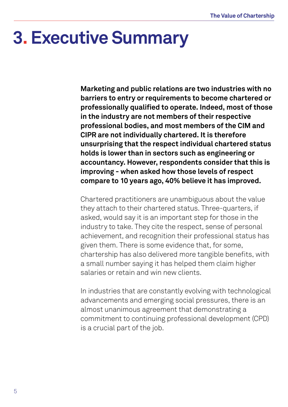### **3. Executive Summary**

**Marketing and public relations are two industries with no barriers to entry or requirements to become chartered or professionally qualified to operate. Indeed, most of those in the industry are not members of their respective professional bodies, and most members of the CIM and CIPR are not individually chartered. It is therefore unsurprising that the respect individual chartered status holds is lower than in sectors such as engineering or accountancy. However, respondents consider that this is improving - when asked how those levels of respect compare to 10 years ago, 40% believe it has improved.** 

Chartered practitioners are unambiguous about the value they attach to their chartered status. Three-quarters, if asked, would say it is an important step for those in the industry to take. They cite the respect, sense of personal achievement, and recognition their professional status has given them. There is some evidence that, for some, chartership has also delivered more tangible benefits, with a small number saying it has helped them claim higher salaries or retain and win new clients.

In industries that are constantly evolving with technological advancements and emerging social pressures, there is an almost unanimous agreement that demonstrating a commitment to continuing professional development (CPD) is a crucial part of the job.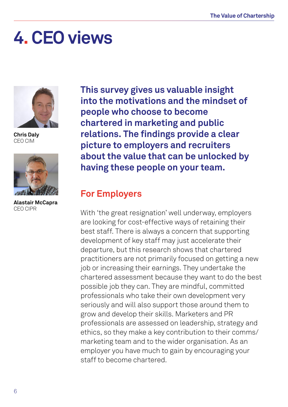### **4. CEO views**



**Chris Daly** CEO CIM



**Alastair McCapra** CEO CIPR

**This survey gives us valuable insight into the motivations and the mindset of people who choose to become chartered in marketing and public relations. The findings provide a clear picture to employers and recruiters about the value that can be unlocked by having these people on your team.**

#### **For Employers**

With 'the great resignation' well underway, employers are looking for cost-effective ways of retaining their best staff. There is always a concern that supporting development of key staff may just accelerate their departure, but this research shows that chartered practitioners are not primarily focused on getting a new job or increasing their earnings. They undertake the chartered assessment because they want to do the best possible job they can. They are mindful, committed professionals who take their own development very seriously and will also support those around them to grow and develop their skills. Marketers and PR professionals are assessed on leadership, strategy and ethics, so they make a key contribution to their comms/ marketing team and to the wider organisation. As an employer you have much to gain by encouraging your staff to become chartered.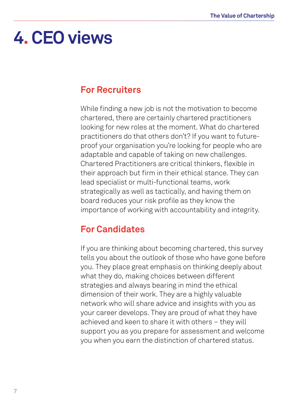### **4. CEO views**

#### **For Recruiters**

While finding a new job is not the motivation to become chartered, there are certainly chartered practitioners looking for new roles at the moment. What do chartered practitioners do that others don't? If you want to futureproof your organisation you're looking for people who are adaptable and capable of taking on new challenges. Chartered Practitioners are critical thinkers, flexible in their approach but firm in their ethical stance. They can lead specialist or multi-functional teams, work strategically as well as tactically, and having them on board reduces your risk profile as they know the importance of working with accountability and integrity.

#### **For Candidates**

If you are thinking about becoming chartered, this survey tells you about the outlook of those who have gone before you. They place great emphasis on thinking deeply about what they do, making choices between different strategies and always bearing in mind the ethical dimension of their work. They are a highly valuable network who will share advice and insights with you as your career develops. They are proud of what they have achieved and keen to share it with others – they will support you as you prepare for assessment and welcome you when you earn the distinction of chartered status.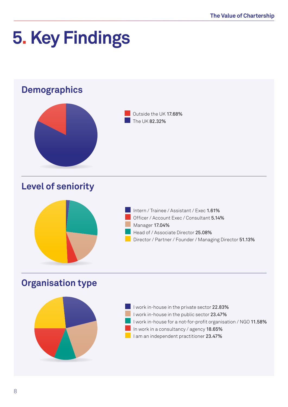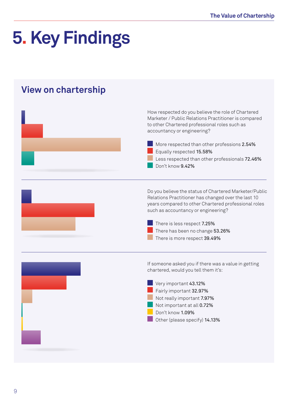#### **View on chartership**

| How respected do you believe the role of Chartered<br>Marketer / Public Relations Practitioner is compared<br>to other Chartered professional roles such as<br>accountancy or engineering?<br>More respected than other professions 2.54%<br>Equally respected 15.58%<br>Less respected than other professionals 72.46%<br>Don't know 9.42% |
|---------------------------------------------------------------------------------------------------------------------------------------------------------------------------------------------------------------------------------------------------------------------------------------------------------------------------------------------|
| Do you believe the status of Chartered Marketer/Public<br>Relations Practitioner has changed over the last 10<br>years compared to other Chartered professional roles<br>such as accountancy or engineering?<br>There is less respect 7.25%<br>There has been no change 53.26%<br>There is more respect 39.49%                              |
| If someone asked you if there was a value in getting<br>chartered, would you tell them it's:<br>Very important 43.12%<br>Fairly important 32.97%<br>Not really important 7.97%<br>Not important at all 0.72%<br>Don't know 1.09%<br>Other (please specify) 14.13%                                                                           |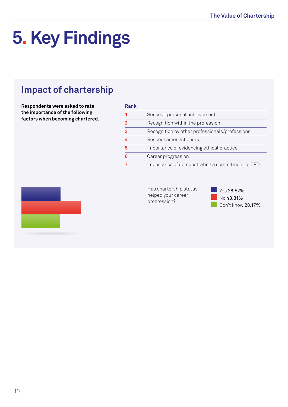#### **Impact of chartership**

**Respondents were asked to rate the importance of the following factors when becoming chartered.**

|  | н |  |
|--|---|--|
|  |   |  |

| 11911R |                                                 |
|--------|-------------------------------------------------|
|        | Sense of personal achievement                   |
| າ      | Recognition within the profession               |
| 3      | Recognition by other professionals/professions  |
|        | Respect amongst peers                           |
| 5      | Importance of evidencing ethical practice       |
| հ      | Career progression                              |
|        | Importance of demonstrating a commitment to CPD |



Has chartership status helped your career progression?

 Yes 28.52% No 43.31% Don't know 28.17%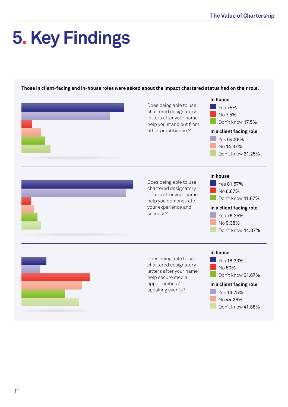**Those in client-facing and in-house roles were asked about the impact chartered status had on their role.**

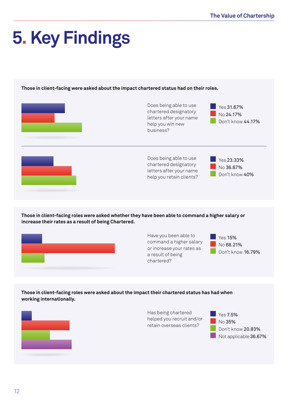**Those in client-facing were asked about the impact chartered status had on their roles.**

| Does being able to use<br>chartered designatory<br>letters after your name<br>help you win new<br>business? | Yes 31.67%<br>No 24.17%<br>Don't know 44.17% |
|-------------------------------------------------------------------------------------------------------------|----------------------------------------------|
| Does being able to use<br>chartered designatory<br>letters after your name<br>help you retain clients?      | Yes 23.33%<br>No 36.67%<br>Don't know 40%    |

**Those in client-facing roles were asked whether they have been able to command a higher salary or increase their rates as a result of being Chartered.**



Have you been able to command a higher salary or increase your rates as a result of being chartered?



**Those in client-facing roles were asked about the impact their chartered status has had when working internationally.**



Has being chartered helped you recruit and/or retain overseas clients?

 Yes 7.5% No 35% Don't know 20.83% Not applicable 36.67%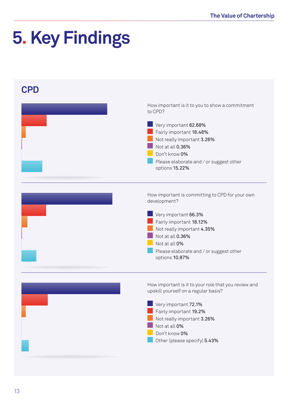